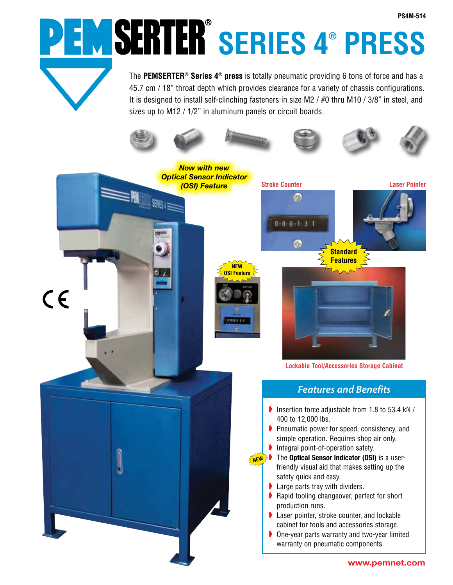**SERIES 4® PRESS**

The **PEMSERTER® Series 4® press** is totally pneumatic providing 6 tons of force and has a 45.7 cm / 18" throat depth which provides clearance for a variety of chassis configurations. It is designed to install self-clinching fasteners in size M2 / #0 thru M10 / 3/8" in steel, and sizes up to M12 / 1/2" in aluminum panels or circuit boards.



**www.pemnet.com**

**PS4M-514**